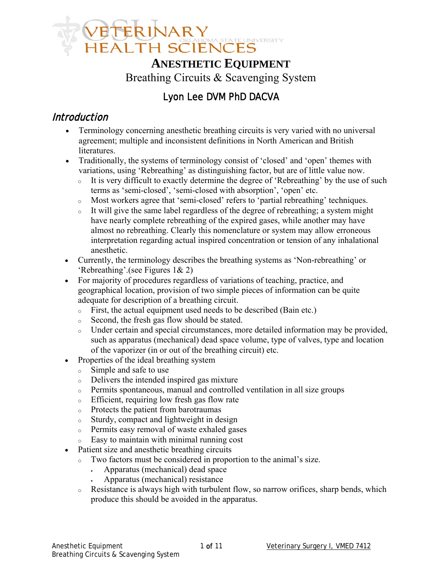

# **ANESTHETIC EQUIPMENT** Breathing Circuits & Scavenging System

# Lyon Lee DVM PhD DACVA

### Introduction

- Terminology concerning anesthetic breathing circuits is very varied with no universal agreement; multiple and inconsistent definitions in North American and British literatures.
- Traditionally, the systems of terminology consist of 'closed' and 'open' themes with variations, using 'Rebreathing' as distinguishing factor, but are of little value now.
	- <sup>o</sup> It is very difficult to exactly determine the degree of 'Rebreathing' by the use of such terms as 'semi-closed', 'semi-closed with absorption', 'open' etc.
	- <sup>o</sup> Most workers agree that 'semi-closed' refers to 'partial rebreathing' techniques.
	- <sup>o</sup> It will give the same label regardless of the degree of rebreathing; a system might have nearly complete rebreathing of the expired gases, while another may have almost no rebreathing. Clearly this nomenclature or system may allow erroneous interpretation regarding actual inspired concentration or tension of any inhalational anesthetic.
- Currently, the terminology describes the breathing systems as 'Non-rebreathing' or 'Rebreathing'.(see Figures 1& 2)
- For majority of procedures regardless of variations of teaching, practice, and geographical location, provision of two simple pieces of information can be quite adequate for description of a breathing circuit.
	- <sup>o</sup> First, the actual equipment used needs to be described (Bain etc.)
	- <sup>o</sup> Second, the fresh gas flow should be stated.
	- <sup>o</sup> Under certain and special circumstances, more detailed information may be provided, such as apparatus (mechanical) dead space volume, type of valves, type and location of the vaporizer (in or out of the breathing circuit) etc.
- Properties of the ideal breathing system
	- <sup>o</sup> Simple and safe to use
	- <sup>o</sup> Delivers the intended inspired gas mixture
	- <sup>o</sup> Permits spontaneous, manual and controlled ventilation in all size groups
	- <sup>o</sup> Efficient, requiring low fresh gas flow rate
	- <sup>o</sup> Protects the patient from barotraumas
	- <sup>o</sup> Sturdy, compact and lightweight in design
	- <sup>o</sup> Permits easy removal of waste exhaled gases
	- <sup>o</sup> Easy to maintain with minimal running cost
- Patient size and anesthetic breathing circuits
	- <sup>o</sup> Two factors must be considered in proportion to the animal's size.
		- Apparatus (mechanical) dead space
		- Apparatus (mechanical) resistance
	- <sup>o</sup> Resistance is always high with turbulent flow, so narrow orifices, sharp bends, which produce this should be avoided in the apparatus.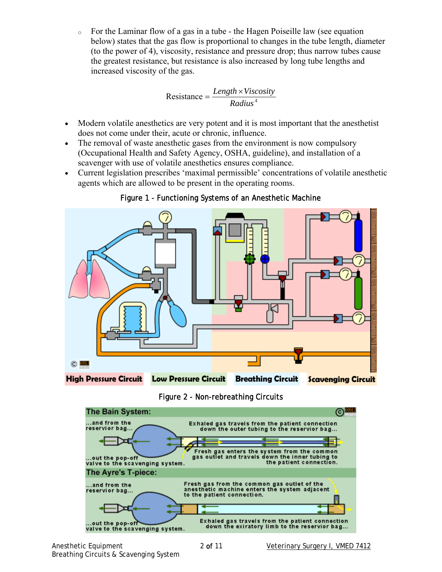<sup>o</sup> For the Laminar flow of a gas in a tube - the Hagen Poiseille law (see equation below) states that the gas flow is proportional to changes in the tube length, diameter (to the power of 4), viscosity, resistance and pressure drop; thus narrow tubes cause the greatest resistance, but resistance is also increased by long tube lengths and increased viscosity of the gas.

$$
Resistance = \frac{Length \times Viscosity}{Radius4}}
$$

- Modern volatile anesthetics are very potent and it is most important that the anesthetist does not come under their, acute or chronic, influence.
- The removal of waste anesthetic gases from the environment is now compulsory (Occupational Health and Safety Agency, OSHA, guideline), and installation of a scavenger with use of volatile anesthetics ensures compliance.
- Current legislation prescribes 'maximal permissible' concentrations of volatile anesthetic agents which are allowed to be present in the operating rooms.



Figure 1 - Functioning Systems of an Anesthetic Machine

Figure 2 - Non-rebreathing Circuits

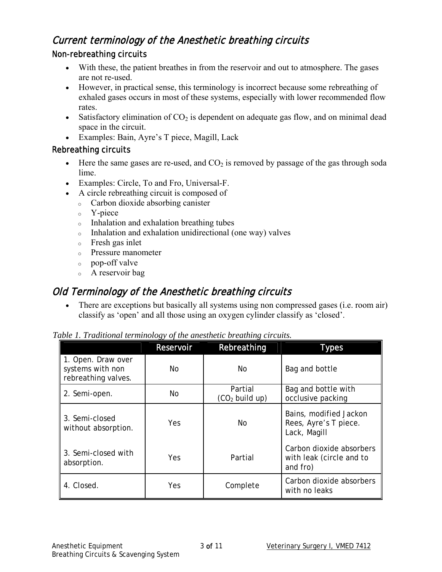# Current terminology of the Anesthetic breathing circuits

#### Non-rebreathing circuits

- With these, the patient breathes in from the reservoir and out to atmosphere. The gases are not re-used.
- However, in practical sense, this terminology is incorrect because some rebreathing of exhaled gases occurs in most of these systems, especially with lower recommended flow rates.
- Satisfactory elimination of  $CO<sub>2</sub>$  is dependent on adequate gas flow, and on minimal dead space in the circuit.
- Examples: Bain, Ayre's T piece, Magill, Lack

#### Rebreathing circuits

- Here the same gases are re-used, and  $CO<sub>2</sub>$  is removed by passage of the gas through soda lime.
- Examples: Circle, To and Fro, Universal-F.
- A circle rebreathing circuit is composed of
	- <sup>o</sup> Carbon dioxide absorbing canister
	- <sup>o</sup> Y-piece
	- <sup>o</sup> Inhalation and exhalation breathing tubes
	- <sup>o</sup> Inhalation and exhalation unidirectional (one way) valves
	- <sup>o</sup> Fresh gas inlet
	- <sup>o</sup> Pressure manometer
	- <sup>o</sup> pop-off valve
	- <sup>o</sup> A reservoir bag

# Old Terminology of the Anesthetic breathing circuits

• There are exceptions but basically all systems using non compressed gases (i.e. room air) classify as 'open' and all those using an oxygen cylinder classify as 'closed'.

|  |  | Table 1. Traditional terminology of the anesthetic breathing circuits. |  |  |
|--|--|------------------------------------------------------------------------|--|--|
|  |  |                                                                        |  |  |

|                                                               | Reservoir  | Rebreathing                 | <b>Types</b>                                                     |
|---------------------------------------------------------------|------------|-----------------------------|------------------------------------------------------------------|
| 1. Open. Draw over<br>systems with non<br>rebreathing valves. | No         | No.                         | Bag and bottle                                                   |
| 2. Semi-open.                                                 | No         | Partial<br>$(CO2$ build up) | Bag and bottle with<br>occlusive packing                         |
| 3. Semi-closed<br>without absorption.                         | <b>Yes</b> | <b>No</b>                   | Bains, modified Jackon<br>Rees, Ayre's T piece.<br>Lack, Magill  |
| 3. Semi-closed with<br>absorption.                            | Yes        | Partial                     | Carbon dioxide absorbers<br>with leak (circle and to<br>and fro) |
| 4. Closed.                                                    | Yes        | Complete                    | Carbon dioxide absorbers<br>with no leaks                        |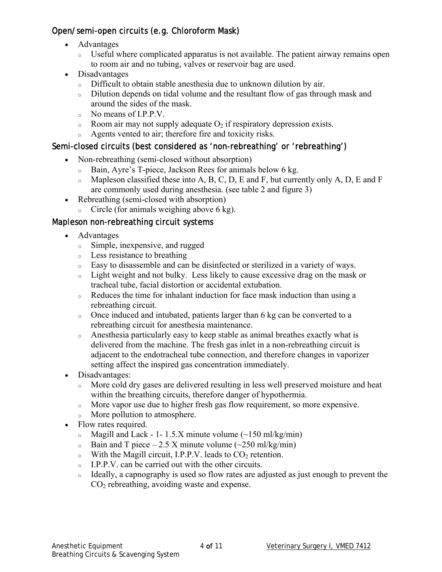#### Open/semi-open circuits (e.g. Chloroform Mask)

- Advantages
	- <sup>o</sup> Useful where complicated apparatus is not available. The patient airway remains open to room air and no tubing, valves or reservoir bag are used.
- Disadvantages
	- <sup>o</sup> Difficult to obtain stable anesthesia due to unknown dilution by air.
	- <sup>o</sup> Dilution depends on tidal volume and the resultant flow of gas through mask and around the sides of the mask.
	- $\circ$  No means of I.P.P.V.
	- $\circ$  Room air may not supply adequate  $O_2$  if respiratory depression exists.
	- <sup>o</sup> Agents vented to air; therefore fire and toxicity risks.

#### Semi-closed circuits (best considered as 'non-rebreathing' or 'rebreathing')

- Non-rebreathing (semi-closed without absorption)
	- <sup>o</sup> Bain, Ayre's T-piece, Jackson Rees for animals below 6 kg.
	- $\circ$  Mapleson classified these into A, B, C, D, E and F, but currently only A, D, E and F are commonly used during anesthesia. (see table 2 and figure 3)
- Rebreathing (semi-closed with absorption)
	- $\circ$  Circle (for animals weighing above 6 kg).

#### Mapleson non-rebreathing circuit systems

- Advantages
	- <sup>o</sup> Simple, inexpensive, and rugged
	- <sup>o</sup> Less resistance to breathing
	- <sup>o</sup> Easy to disassemble and can be disinfected or sterilized in a variety of ways.
	- <sup>o</sup> Light weight and not bulky. Less likely to cause excessive drag on the mask or tracheal tube, facial distortion or accidental extubation.
	- $\circ$  Reduces the time for inhalant induction for face mask induction than using a rebreathing circuit.
	- <sup>o</sup> Once induced and intubated, patients larger than 6 kg can be converted to a rebreathing circuit for anesthesia maintenance.
	- $\circ$  Anesthesia particularly easy to keep stable as animal breathes exactly what is delivered from the machine. The fresh gas inlet in a non-rebreathing circuit is adjacent to the endotracheal tube connection, and therefore changes in vaporizer setting affect the inspired gas concentration immediately.
- Disadvantages:
	- <sup>o</sup> More cold dry gases are delivered resulting in less well preserved moisture and heat within the breathing circuits, therefore danger of hypothermia.
	- <sup>o</sup> More vapor use due to higher fresh gas flow requirement, so more expensive.
	- <sup>o</sup> More pollution to atmosphere.
- Flow rates required.
	- $\delta$  Magill and Lack 1- 1.5.X minute volume (~150 ml/kg/min)
	- $\delta$  Bain and T piece 2.5 X minute volume (~250 ml/kg/min)
	- $\circ$  With the Magill circuit, I.P.P.V. leads to  $CO<sub>2</sub>$  retention.
	- <sup>o</sup> I.P.P.V. can be carried out with the other circuits.
	- <sup>o</sup> Ideally, a capnography is used so flow rates are adjusted as just enough to prevent the  $CO<sub>2</sub>$  rebreathing, avoiding waste and expense.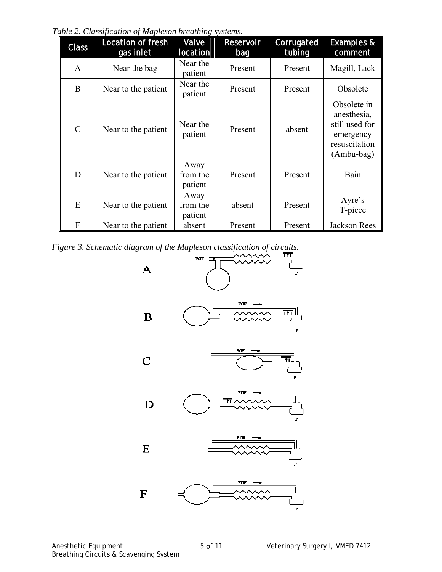*Table 2. Classification of Mapleson breathing systems.* 

| <b>Class</b>  | <b>Location of fresh</b><br>gas inlet | Valve<br>location           | <b>Reservoir</b><br>bag | Corrugated<br>tubing | <b>Examples &amp;</b><br>comment                                                         |
|---------------|---------------------------------------|-----------------------------|-------------------------|----------------------|------------------------------------------------------------------------------------------|
| $\mathbf{A}$  | Near the bag                          | Near the<br>patient         | Present                 | Present              | Magill, Lack                                                                             |
| B             | Near to the patient                   | Near the<br>patient         | Present                 | Present              | Obsolete                                                                                 |
| $\mathcal{C}$ | Near to the patient                   | Near the<br>patient         | Present                 | absent               | Obsolete in<br>anesthesia,<br>still used for<br>emergency<br>resuscitation<br>(Ambu-bag) |
| D             | Near to the patient                   | Away<br>from the<br>patient | Present                 | Present              | Bain                                                                                     |
| E             | Near to the patient                   | Away<br>from the<br>patient | absent                  | Present              | Ayre's<br>T-piece                                                                        |
| F             | Near to the patient                   | absent                      | Present                 | Present              | Jackson Rees                                                                             |

*Figure 3. Schematic diagram of the Mapleson classification of circuits.* 

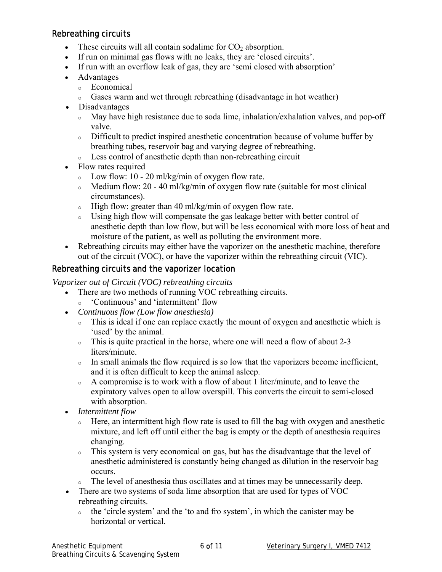#### Rebreathing circuits

- These circuits will all contain sodalime for  $CO<sub>2</sub>$  absorption.
- If run on minimal gas flows with no leaks, they are 'closed circuits'.
- If run with an overflow leak of gas, they are 'semi closed with absorption'
- Advantages
	- <sup>o</sup> Economical
	- <sup>o</sup> Gases warm and wet through rebreathing (disadvantage in hot weather)
- Disadvantages
	- <sup>o</sup> May have high resistance due to soda lime, inhalation/exhalation valves, and pop-off valve.
	- <sup>o</sup> Difficult to predict inspired anesthetic concentration because of volume buffer by breathing tubes, reservoir bag and varying degree of rebreathing.
	- <sup>o</sup> Less control of anesthetic depth than non-rebreathing circuit
- Flow rates required
	- $\circ$  Low flow: 10 20 ml/kg/min of oxygen flow rate.
	- $\circ$  Medium flow: 20 40 ml/kg/min of oxygen flow rate (suitable for most clinical circumstances).
	- <sup>o</sup> High flow: greater than 40 ml/kg/min of oxygen flow rate.
	- <sup>o</sup> Using high flow will compensate the gas leakage better with better control of anesthetic depth than low flow, but will be less economical with more loss of heat and moisture of the patient, as well as polluting the environment more.
- Rebreathing circuits may either have the vaporizer on the anesthetic machine, therefore out of the circuit (VOC), or have the vaporizer within the rebreathing circuit (VIC).

#### Rebreathing circuits and the vaporizer location

*Vaporizer out of Circuit (VOC) rebreathing circuits* 

- There are two methods of running VOC rebreathing circuits.
	- <sup>o</sup> 'Continuous' and 'intermittent' flow
- *Continuous flow (Low flow anesthesia)* 
	- <sup>o</sup> This is ideal if one can replace exactly the mount of oxygen and anesthetic which is 'used' by the animal.
	- $\circ$  This is quite practical in the horse, where one will need a flow of about 2-3 liters/minute.
	- <sup>o</sup> In small animals the flow required is so low that the vaporizers become inefficient, and it is often difficult to keep the animal asleep.
	- <sup>o</sup> A compromise is to work with a flow of about 1 liter/minute, and to leave the expiratory valves open to allow overspill. This converts the circuit to semi-closed with absorption.
- *Intermittent flow* 
	- <sup>o</sup> Here, an intermittent high flow rate is used to fill the bag with oxygen and anesthetic mixture, and left off until either the bag is empty or the depth of anesthesia requires changing.
	- <sup>o</sup> This system is very economical on gas, but has the disadvantage that the level of anesthetic administered is constantly being changed as dilution in the reservoir bag occurs.
	- <sup>o</sup> The level of anesthesia thus oscillates and at times may be unnecessarily deep.
- There are two systems of soda lime absorption that are used for types of VOC rebreathing circuits.
	- <sup>o</sup> the 'circle system' and the 'to and fro system', in which the canister may be horizontal or vertical.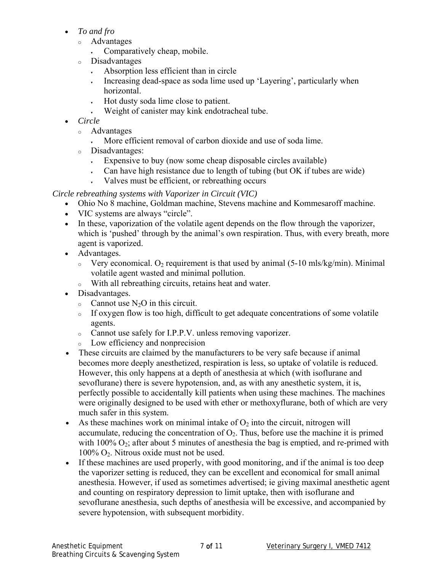- *To and fro* 
	- <sup>o</sup> Advantages
		- Comparatively cheap, mobile.
	- <sup>o</sup> Disadvantages
		- **Absorption less efficient than in circle**
		- Increasing dead-space as soda lime used up 'Layering', particularly when horizontal.
		- Hot dusty soda lime close to patient.
		- Weight of canister may kink endotracheal tube.
- *Circle* 
	- <sup>o</sup> Advantages
		- More efficient removal of carbon dioxide and use of soda lime.
	- <sup>o</sup> Disadvantages:
		- $\cdot$  Expensive to buy (now some cheap disposable circles available)
		- Can have high resistance due to length of tubing (but OK if tubes are wide)
		- Valves must be efficient, or rebreathing occurs

*Circle rebreathing systems with Vaporizer in Circuit (VIC)*

- Ohio No 8 machine, Goldman machine, Stevens machine and Kommesaroff machine.
- VIC systems are always "circle".
- In these, vaporization of the volatile agent depends on the flow through the vaporizer, which is 'pushed' through by the animal's own respiration. Thus, with every breath, more agent is vaporized.
- Advantages.
	- $\degree$  Very economical. O<sub>2</sub> requirement is that used by animal (5-10 mls/kg/min). Minimal volatile agent wasted and minimal pollution.
	- <sup>o</sup> With all rebreathing circuits, retains heat and water.
- Disadvantages.
	- $\circ$  Cannot use N<sub>2</sub>O in this circuit.
	- <sup>o</sup> If oxygen flow is too high, difficult to get adequate concentrations of some volatile agents.
	- <sup>o</sup> Cannot use safely for I.P.P.V. unless removing vaporizer.
	- <sup>o</sup> Low efficiency and nonprecision
- These circuits are claimed by the manufacturers to be very safe because if animal becomes more deeply anesthetized, respiration is less, so uptake of volatile is reduced. However, this only happens at a depth of anesthesia at which (with isoflurane and sevoflurane) there is severe hypotension, and, as with any anesthetic system, it is, perfectly possible to accidentally kill patients when using these machines. The machines were originally designed to be used with ether or methoxyflurane, both of which are very much safer in this system.
- As these machines work on minimal intake of  $O<sub>2</sub>$  into the circuit, nitrogen will accumulate, reducing the concentration of  $O<sub>2</sub>$ . Thus, before use the machine it is primed with  $100\% O_2$ ; after about 5 minutes of anesthesia the bag is emptied, and re-primed with  $100\%$  O<sub>2</sub>. Nitrous oxide must not be used.
- If these machines are used properly, with good monitoring, and if the animal is too deep the vaporizer setting is reduced, they can be excellent and economical for small animal anesthesia. However, if used as sometimes advertised; ie giving maximal anesthetic agent and counting on respiratory depression to limit uptake, then with isoflurane and sevoflurane anesthesia, such depths of anesthesia will be excessive, and accompanied by severe hypotension, with subsequent morbidity.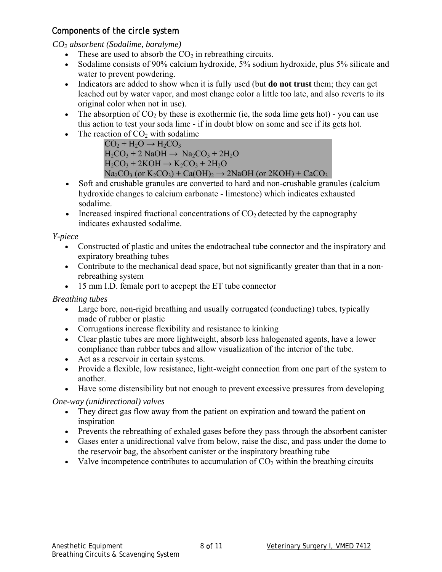#### Components of the circle system

*CO2 absorbent (Sodalime, baralyme)* 

- These are used to absorb the  $CO<sub>2</sub>$  in rebreathing circuits.
- Sodalime consists of 90% calcium hydroxide, 5% sodium hydroxide, plus 5% silicate and water to prevent powdering.
- Indicators are added to show when it is fully used (but **do not trust** them; they can get leached out by water vapor, and most change color a little too late, and also reverts to its original color when not in use).
- The absorption of  $CO<sub>2</sub>$  by these is exothermic (ie, the soda lime gets hot) you can use this action to test your soda lime - if in doubt blow on some and see if its gets hot.
- The reaction of  $CO<sub>2</sub>$  with sodalime

 $CO<sub>2</sub> + H<sub>2</sub>O \rightarrow H<sub>2</sub>CO<sub>3</sub>$  $H_2CO_3 + 2$  NaOH  $\rightarrow$  Na<sub>2</sub>CO<sub>3</sub> + 2H<sub>2</sub>O  $H_2CO_3 + 2KOH \rightarrow K_2CO_3 + 2H_2O$  $Na_2CO_3$  (or  $K_2CO_3$ ) + Ca(OH)<sub>2</sub>  $\rightarrow$  2NaOH (or 2KOH) + CaCO<sub>3</sub>

- Soft and crushable granules are converted to hard and non-crushable granules (calcium hydroxide changes to calcium carbonate - limestone) which indicates exhausted sodalime.
- Increased inspired fractional concentrations of  $CO<sub>2</sub>$  detected by the capnography indicates exhausted sodalime.

*Y-piece* 

- Constructed of plastic and unites the endotracheal tube connector and the inspiratory and expiratory breathing tubes
- Contribute to the mechanical dead space, but not significantly greater than that in a nonrebreathing system
- 15 mm I.D. female port to accpept the ET tube connector

*Breathing tubes* 

- Large bore, non-rigid breathing and usually corrugated (conducting) tubes, typically made of rubber or plastic
- Corrugations increase flexibility and resistance to kinking
- Clear plastic tubes are more lightweight, absorb less halogenated agents, have a lower compliance than rubber tubes and allow visualization of the interior of the tube.
- Act as a reservoir in certain systems.
- Provide a flexible, low resistance, light-weight connection from one part of the system to another.
- Have some distensibility but not enough to prevent excessive pressures from developing

*One-way (unidirectional) valves* 

- They direct gas flow away from the patient on expiration and toward the patient on inspiration
- Prevents the rebreathing of exhaled gases before they pass through the absorbent canister
- Gases enter a unidirectional valve from below, raise the disc, and pass under the dome to the reservoir bag, the absorbent canister or the inspiratory breathing tube
- Valve incompetence contributes to accumulation of  $CO<sub>2</sub>$  within the breathing circuits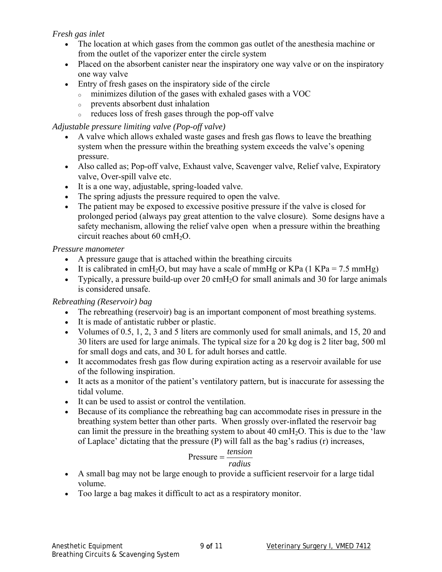#### *Fresh gas inlet*

- The location at which gases from the common gas outlet of the anesthesia machine or from the outlet of the vaporizer enter the circle system
- Placed on the absorbent canister near the inspiratory one way valve or on the inspiratory one way valve
- Entry of fresh gases on the inspiratory side of the circle
	- <sup>o</sup> minimizes dilution of the gases with exhaled gases with a VOC
	- <sup>o</sup> prevents absorbent dust inhalation
	- <sup>o</sup> reduces loss of fresh gases through the pop-off valve

#### *Adjustable pressure limiting valve (Pop-off valve)*

- A valve which allows exhaled waste gases and fresh gas flows to leave the breathing system when the pressure within the breathing system exceeds the valve's opening pressure.
- Also called as; Pop-off valve, Exhaust valve, Scavenger valve, Relief valve, Expiratory valve, Over-spill valve etc.
- It is a one way, adjustable, spring-loaded valve.
- The spring adjusts the pressure required to open the valve.
- The patient may be exposed to excessive positive pressure if the valve is closed for prolonged period (always pay great attention to the valve closure). Some designs have a safety mechanism, allowing the relief valve open when a pressure within the breathing circuit reaches about 60 cmH<sub>2</sub>O.

#### *Pressure manometer*

- A pressure gauge that is attached within the breathing circuits
- It is calibrated in cmH<sub>2</sub>O, but may have a scale of mmHg or KPa (1 KPa = 7.5 mmHg)
- Typically, a pressure build-up over 20 cmH<sub>2</sub>O for small animals and 30 for large animals is considered unsafe.

#### *Rebreathing (Reservoir) bag*

- The rebreathing (reservoir) bag is an important component of most breathing systems.
- It is made of antistatic rubber or plastic.
- Volumes of 0.5, 1, 2, 3 and 5 liters are commonly used for small animals, and 15, 20 and 30 liters are used for large animals. The typical size for a 20 kg dog is 2 liter bag, 500 ml for small dogs and cats, and 30 L for adult horses and cattle.
- It accommodates fresh gas flow during expiration acting as a reservoir available for use of the following inspiration.
- It acts as a monitor of the patient's ventilatory pattern, but is inaccurate for assessing the tidal volume.
- It can be used to assist or control the ventilation.
- Because of its compliance the rebreathing bag can accommodate rises in pressure in the breathing system better than other parts. When grossly over-inflated the reservoir bag can limit the pressure in the breathing system to about 40 cmH<sub>2</sub>O. This is due to the 'law of Laplace' dictating that the pressure (P) will fall as the bag's radius (r) increases,

#### *radius*  $Pressure = \frac{tension}{ }$

- A small bag may not be large enough to provide a sufficient reservoir for a large tidal volume.
- Too large a bag makes it difficult to act as a respiratory monitor.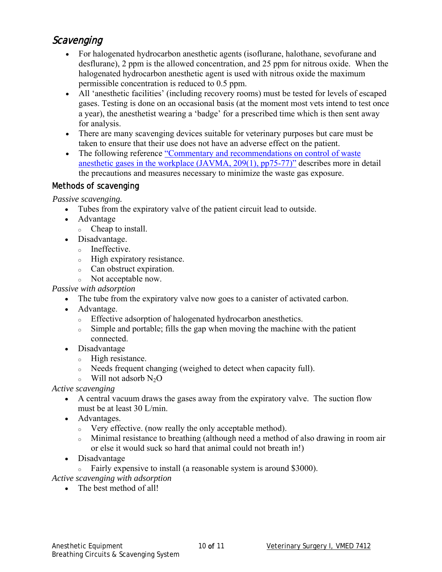## **Scavenging**

- For halogenated hydrocarbon anesthetic agents (isoflurane, halothane, sevofurane and desflurane), 2 ppm is the allowed concentration, and 25 ppm for nitrous oxide. When the halogenated hydrocarbon anesthetic agent is used with nitrous oxide the maximum permissible concentration is reduced to 0.5 ppm.
- All 'anesthetic facilities' (including recovery rooms) must be tested for levels of escaped gases. Testing is done on an occasional basis (at the moment most vets intend to test once a year), the anesthetist wearing a 'badge' for a prescribed time which is then sent away for analysis.
- There are many scavenging devices suitable for veterinary purposes but care must be taken to ensure that their use does not have an adverse effect on the patient.
- The following reference "Commentary and recommendations on control of waste [anesthetic gases in the workplace \(JAVMA, 209\(1\), pp75-77\)"](http://www.acva.org/professional/Position/waste.htm) describes more in detail the precautions and measures necessary to minimize the waste gas exposure.

#### Methods of scavenging

*Passive scavenging.* 

- Tubes from the expiratory valve of the patient circuit lead to outside.
- Advantage
	- <sup>o</sup> Cheap to install.
- Disadvantage.
	- <sup>o</sup> Ineffective.
	- <sup>o</sup> High expiratory resistance.
	- <sup>o</sup> Can obstruct expiration.
	- <sup>o</sup> Not acceptable now.

*Passive with adsorption* 

- The tube from the expiratory valve now goes to a canister of activated carbon.
- Advantage.
	- <sup>o</sup> Effective adsorption of halogenated hydrocarbon anesthetics.
	- <sup>o</sup> Simple and portable; fills the gap when moving the machine with the patient connected.
- Disadvantage
	- <sup>o</sup> High resistance.
	- <sup>o</sup> Needs frequent changing (weighed to detect when capacity full).
	- $\circ$  Will not adsorb N<sub>2</sub>O

*Active scavenging* 

- A central vacuum draws the gases away from the expiratory valve. The suction flow must be at least 30 L/min.
- Advantages.
	- <sup>o</sup> Very effective. (now really the only acceptable method).
	- <sup>o</sup> Minimal resistance to breathing (although need a method of also drawing in room air or else it would suck so hard that animal could not breath in!)
- Disadvantage
	- <sup>o</sup> Fairly expensive to install (a reasonable system is around \$3000).

*Active scavenging with adsorption*

• The best method of all!